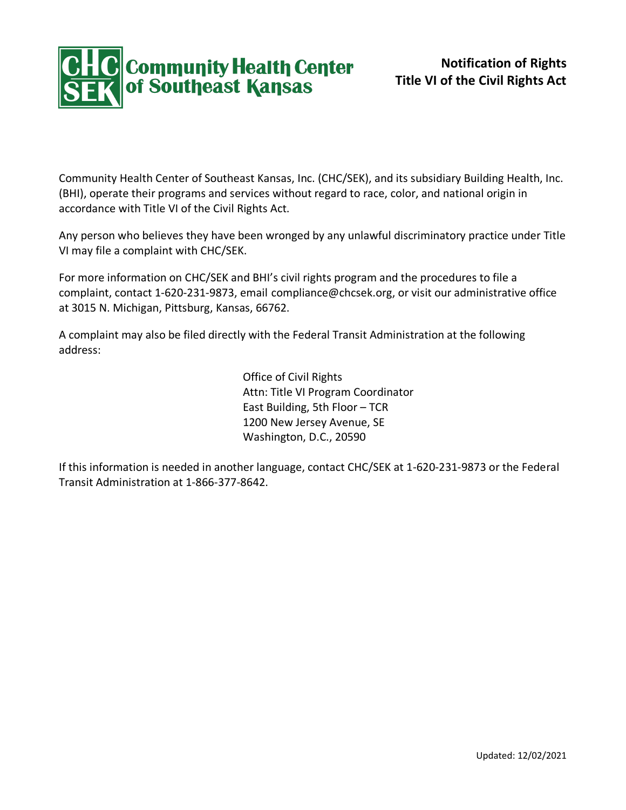

Community Health Center of Southeast Kansas, Inc. (CHC/SEK), and its subsidiary Building Health, Inc. (BHI), operate their programs and services without regard to race, color, and national origin in accordance with Title VI of the Civil Rights Act.

Any person who believes they have been wronged by any unlawful discriminatory practice under Title VI may file a complaint with CHC/SEK.

For more information on CHC/SEK and BHI's civil rights program and the procedures to file a complaint, contact 1-620-231-9873, email compliance@chcsek.org, or visit our administrative office at 3015 N. Michigan, Pittsburg, Kansas, 66762.

A complaint may also be filed directly with the Federal Transit Administration at the following address:

> Office of Civil Rights Attn: Title VI Program Coordinator East Building, 5th Floor – TCR 1200 New Jersey Avenue, SE Washington, D.C., 20590

If this information is needed in another language, contact CHC/SEK at 1-620-231-9873 or the Federal Transit Administration at 1-866-377-8642.